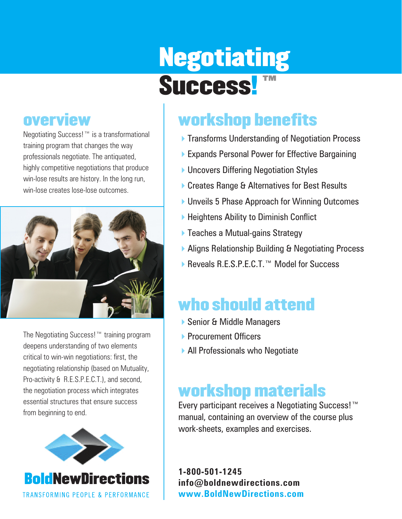# Negotiating Success! ™

### **overview**

Negotiating Success!™ is a transformational training program that changes the way professionals negotiate. The antiquated, highly competitive negotiations that produce win-lose results are history. In the long run, win-lose creates lose-lose outcomes.



The Negotiating Success!™ training program deepens understanding of two elements critical to win-win negotiations: first, the negotiating relationship (based on Mutuality, Pro-activity & R.E.S.P.E.C.T.), and second, the negotiation process which integrates essential structures that ensure success from beginning to end.



## workshop benefits

- **Transforms Understanding of Negotiation Process**
- ▶ Expands Personal Power for Effective Bargaining
- ▶ Uncovers Differing Negotiation Styles
- ▶ Creates Range & Alternatives for Best Results
- ▶ Unveils 5 Phase Approach for Winning Outcomes
- $\blacktriangleright$  Heightens Ability to Diminish Conflict
- $\blacktriangleright$  Teaches a Mutual-gains Strategy
- ▶ Aligns Relationship Building & Negotiating Process
- ▶ Reveals R.E.S.P.E.C.T. ™ Model for Success

## who should attend

- ▶ Senior & Middle Managers
- **Procurement Officers**
- ▶ All Professionals who Negotiate

## workshop materials

Every participant receives a Negotiating Success!™ manual, containing an overview of the course plus work-sheets, examples and exercises.

**1-800-501-1245 info@boldnewdirections.com www.BoldNewDirections.com**